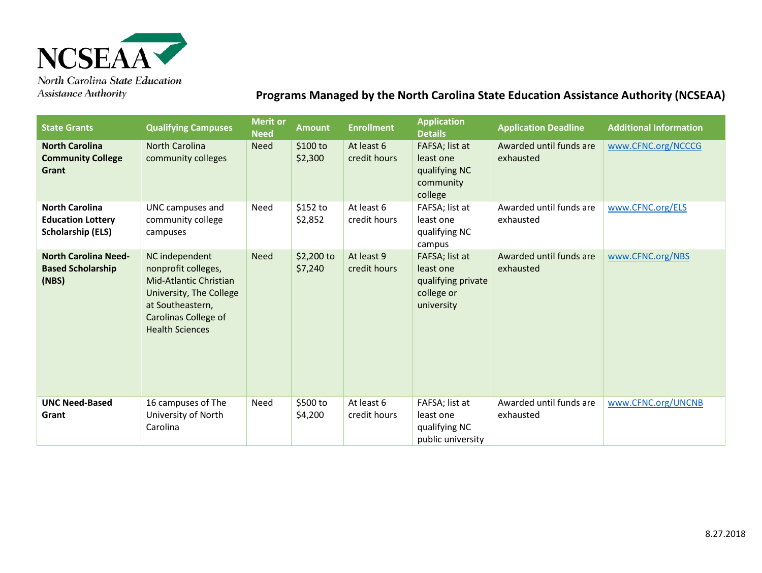

**Assistance Authority** 

## **Programs Managed by the North Carolina State Education Assistance Authority (NCSEAA)**

| <b>State Grants</b>                                                           | <b>Qualifying Campuses</b>                                                                                                                                              | <b>Merit or</b><br><b>Need</b> | <b>Amount</b>          | <b>Enrollment</b>          | <b>Application</b><br><b>Details</b>                                          | <b>Application Deadline</b>          | <b>Additional Information</b> |
|-------------------------------------------------------------------------------|-------------------------------------------------------------------------------------------------------------------------------------------------------------------------|--------------------------------|------------------------|----------------------------|-------------------------------------------------------------------------------|--------------------------------------|-------------------------------|
| <b>North Carolina</b><br><b>Community College</b><br>Grant                    | <b>North Carolina</b><br>community colleges                                                                                                                             | <b>Need</b>                    | \$100 to<br>\$2,300    | At least 6<br>credit hours | FAFSA; list at<br>least one<br>qualifying NC<br>community<br>college          | Awarded until funds are<br>exhausted | www.CFNC.org/NCCCG            |
| <b>North Carolina</b><br><b>Education Lottery</b><br><b>Scholarship (ELS)</b> | UNC campuses and<br>community college<br>campuses                                                                                                                       | Need                           | \$152 to<br>\$2,852    | At least 6<br>credit hours | FAFSA; list at<br>least one<br>qualifying NC<br>campus                        | Awarded until funds are<br>exhausted | www.CFNC.org/ELS              |
| <b>North Carolina Need-</b><br><b>Based Scholarship</b><br>(NBS)              | NC independent<br>nonprofit colleges,<br>Mid-Atlantic Christian<br>University, The College<br>at Southeastern,<br><b>Carolinas College of</b><br><b>Health Sciences</b> | <b>Need</b>                    | $$2,200$ to<br>\$7,240 | At least 9<br>credit hours | FAFSA; list at<br>least one<br>qualifying private<br>college or<br>university | Awarded until funds are<br>exhausted | www.CFNC.org/NBS              |
| <b>UNC Need-Based</b><br>Grant                                                | 16 campuses of The<br>University of North<br>Carolina                                                                                                                   | Need                           | \$500 to<br>\$4,200    | At least 6<br>credit hours | FAFSA; list at<br>least one<br>qualifying NC<br>public university             | Awarded until funds are<br>exhausted | www.CFNC.org/UNCNB            |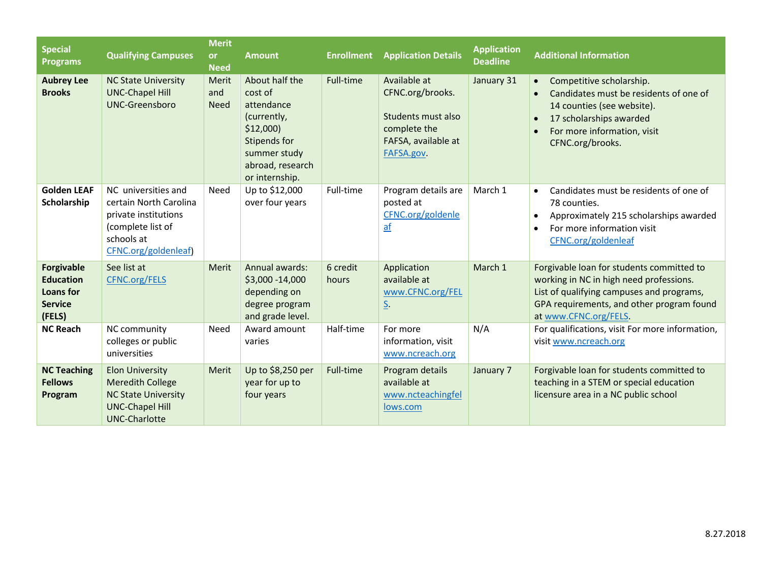| <b>Special</b><br><b>Programs</b>                                              | <b>Qualifying Campuses</b>                                                                                                        | <b>Merit</b><br><b>or</b><br><b>Need</b> | <b>Amount</b>                                                                                                                            | <b>Enrollment</b> | <b>Application Details</b>                                                                                  | <b>Application</b><br>Deadline | <b>Additional Information</b>                                                                                                                                                                                                      |
|--------------------------------------------------------------------------------|-----------------------------------------------------------------------------------------------------------------------------------|------------------------------------------|------------------------------------------------------------------------------------------------------------------------------------------|-------------------|-------------------------------------------------------------------------------------------------------------|--------------------------------|------------------------------------------------------------------------------------------------------------------------------------------------------------------------------------------------------------------------------------|
| <b>Aubrey Lee</b><br><b>Brooks</b>                                             | <b>NC State University</b><br><b>UNC-Chapel Hill</b><br><b>UNC-Greensboro</b>                                                     | Merit<br>and<br><b>Need</b>              | About half the<br>cost of<br>attendance<br>(currently,<br>\$12,000<br>Stipends for<br>summer study<br>abroad, research<br>or internship. | Full-time         | Available at<br>CFNC.org/brooks.<br>Students must also<br>complete the<br>FAFSA, available at<br>FAFSA.gov. | January 31                     | Competitive scholarship.<br>$\bullet$<br>Candidates must be residents of one of<br>$\bullet$<br>14 counties (see website).<br>17 scholarships awarded<br>$\bullet$<br>For more information, visit<br>$\bullet$<br>CFNC.org/brooks. |
| <b>Golden LEAF</b><br>Scholarship                                              | NC universities and<br>certain North Carolina<br>private institutions<br>(complete list of<br>schools at<br>CFNC.org/goldenleaf)  | Need                                     | Up to \$12,000<br>over four years                                                                                                        | Full-time         | Program details are<br>posted at<br>CFNC.org/goldenle<br>$\underline{af}$                                   | March 1                        | Candidates must be residents of one of<br>$\bullet$<br>78 counties.<br>Approximately 215 scholarships awarded<br>$\bullet$<br>For more information visit<br>$\bullet$<br>CFNC.org/goldenleaf                                       |
| <b>Forgivable</b><br><b>Education</b><br>Loans for<br><b>Service</b><br>(FELS) | See list at<br><b>CFNC.org/FELS</b>                                                                                               | Merit                                    | Annual awards:<br>\$3,000 - 14,000<br>depending on<br>degree program<br>and grade level.                                                 | 6 credit<br>hours | Application<br>available at<br>www.CFNC.org/FEL<br><u>S</u> .                                               | March 1                        | Forgivable loan for students committed to<br>working in NC in high need professions.<br>List of qualifying campuses and programs,<br>GPA requirements, and other program found<br>at www.CFNC.org/FELS.                            |
| <b>NC Reach</b>                                                                | NC community<br>colleges or public<br>universities                                                                                | Need                                     | Award amount<br>varies                                                                                                                   | Half-time         | For more<br>information, visit<br>www.ncreach.org                                                           | N/A                            | For qualifications, visit For more information,<br>visit www.ncreach.org                                                                                                                                                           |
| <b>NC Teaching</b><br><b>Fellows</b><br>Program                                | <b>Elon University</b><br><b>Meredith College</b><br><b>NC State University</b><br><b>UNC-Chapel Hill</b><br><b>UNC-Charlotte</b> | Merit                                    | Up to \$8,250 per<br>year for up to<br>four years                                                                                        | Full-time         | Program details<br>available at<br>www.ncteachingfel<br>lows.com                                            | January 7                      | Forgivable loan for students committed to<br>teaching in a STEM or special education<br>licensure area in a NC public school                                                                                                       |